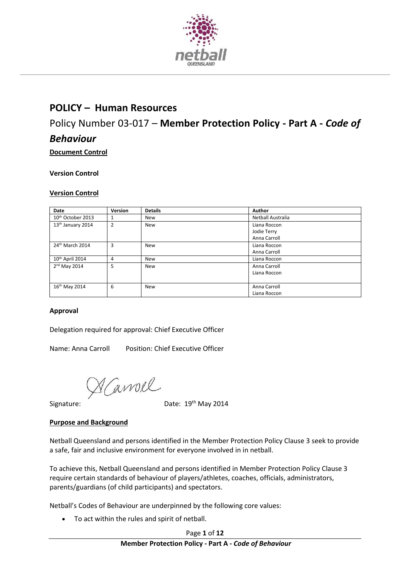

## **POLICY – Human Resources**

# Policy Number 03-017 *–* **Member Protection Policy - Part A -** *Code of Behaviour*

**Document Control** 

#### **Version Control**

#### **Version Control**

| Date                          | Version | <b>Details</b> | Author            |
|-------------------------------|---------|----------------|-------------------|
| 10 <sup>th</sup> October 2013 |         | New            | Netball Australia |
| 13 <sup>th</sup> January 2014 | 2       | New            | Liana Roccon      |
|                               |         |                | Jodie Terry       |
|                               |         |                | Anna Carroll      |
| 24th March 2014               | 3       | <b>New</b>     | Liana Roccon      |
|                               |         |                | Anna Carroll      |
| 10th April 2014               | 4       | New            | Liana Roccon      |
| 2 <sup>nd</sup> May 2014      | 5       | New            | Anna Carroll      |
|                               |         |                | Liana Roccon      |
|                               |         |                |                   |
| 16th May 2014                 | 6       | New            | Anna Carroll      |
|                               |         |                | Liana Roccon      |

#### **Approval**

Delegation required for approval: Chief Executive Officer

Name: Anna Carroll Position: Chief Executive Officer

 $M$   $\alpha$  *(avroll* Date: 19<sup>th</sup> May 2014

#### **Purpose and Background**

Netball Queensland and persons identified in the Member Protection Policy Clause 3 seek to provide a safe, fair and inclusive environment for everyone involved in in netball.

To achieve this, Netball Queensland and persons identified in Member Protection Policy Clause 3 require certain standards of behaviour of players/athletes, coaches, officials, administrators, parents/guardians (of child participants) and spectators.

Netball's Codes of Behaviour are underpinned by the following core values:

To act within the rules and spirit of netball.

Page **1** of **12**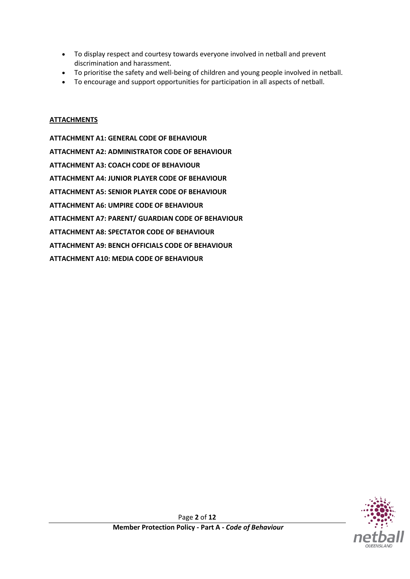- To display respect and courtesy towards everyone involved in netball and prevent discrimination and harassment.
- To prioritise the safety and well-being of children and young people involved in netball.
- To encourage and support opportunities for participation in all aspects of netball.

#### **ATTACHMENTS**

**ATTACHMENT A1: GENERAL CODE OF BEHAVIOUR ATTACHMENT A2: ADMINISTRATOR CODE OF BEHAVIOUR ATTACHMENT A3: COACH CODE OF BEHAVIOUR ATTACHMENT A4: JUNIOR PLAYER CODE OF BEHAVIOUR ATTACHMENT A5: SENIOR PLAYER CODE OF BEHAVIOUR ATTACHMENT A6: UMPIRE CODE OF BEHAVIOUR ATTACHMENT A7: PARENT/ GUARDIAN CODE OF BEHAVIOUR ATTACHMENT A8: SPECTATOR CODE OF BEHAVIOUR ATTACHMENT A9: BENCH OFFICIALS CODE OF BEHAVIOUR ATTACHMENT A10: MEDIA CODE OF BEHAVIOUR**

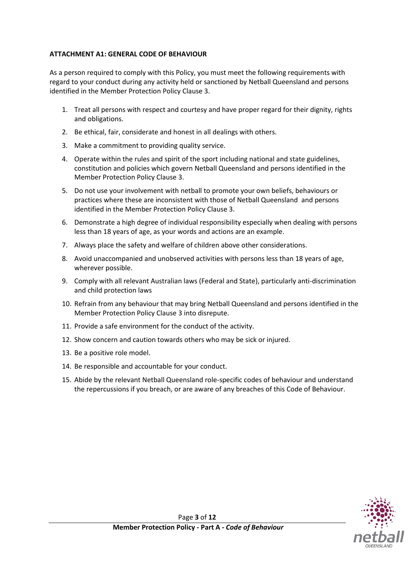#### **ATTACHMENT A1: GENERAL CODE OF BEHAVIOUR**

As a person required to comply with this Policy, you must meet the following requirements with regard to your conduct during any activity held or sanctioned by Netball Queensland and persons identified in the Member Protection Policy Clause 3.

- 1. Treat all persons with respect and courtesy and have proper regard for their dignity, rights and obligations.
- 2. Be ethical, fair, considerate and honest in all dealings with others.
- 3. Make a commitment to providing quality service.
- 4. Operate within the rules and spirit of the sport including national and state guidelines, constitution and policies which govern Netball Queensland and persons identified in the Member Protection Policy Clause 3.
- 5. Do not use your involvement with netball to promote your own beliefs, behaviours or practices where these are inconsistent with those of Netball Queensland and persons identified in the Member Protection Policy Clause 3.
- 6. Demonstrate a high degree of individual responsibility especially when dealing with persons less than 18 years of age, as your words and actions are an example.
- 7. Always place the safety and welfare of children above other considerations.
- 8. Avoid unaccompanied and unobserved activities with persons less than 18 years of age, wherever possible.
- 9. Comply with all relevant Australian laws (Federal and State), particularly anti-discrimination and child protection laws
- 10. Refrain from any behaviour that may bring Netball Queensland and persons identified in the Member Protection Policy Clause 3 into disrepute.
- 11. Provide a safe environment for the conduct of the activity.
- 12. Show concern and caution towards others who may be sick or injured.
- 13. Be a positive role model.
- 14. Be responsible and accountable for your conduct.
- 15. Abide by the relevant Netball Queensland role-specific codes of behaviour and understand the repercussions if you breach, or are aware of any breaches of this Code of Behaviour.

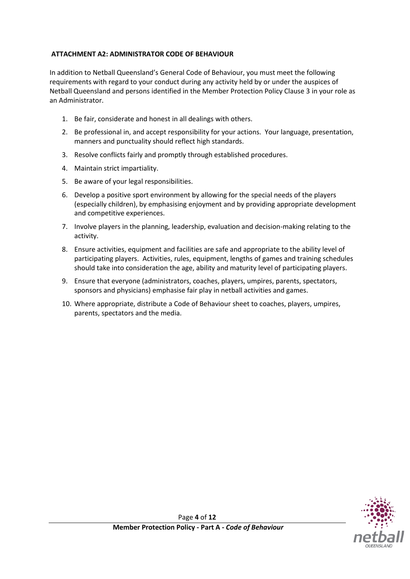#### **ATTACHMENT A2: ADMINISTRATOR CODE OF BEHAVIOUR**

In addition to Netball Queensland's General Code of Behaviour, you must meet the following requirements with regard to your conduct during any activity held by or under the auspices of Netball Queensland and persons identified in the Member Protection Policy Clause 3 in your role as an Administrator.

- 1. Be fair, considerate and honest in all dealings with others.
- 2. Be professional in, and accept responsibility for your actions. Your language, presentation, manners and punctuality should reflect high standards.
- 3. Resolve conflicts fairly and promptly through established procedures.
- 4. Maintain strict impartiality.
- 5. Be aware of your legal responsibilities.
- 6. Develop a positive sport environment by allowing for the special needs of the players (especially children), by emphasising enjoyment and by providing appropriate development and competitive experiences.
- 7. Involve players in the planning, leadership, evaluation and decision-making relating to the activity.
- 8. Ensure activities, equipment and facilities are safe and appropriate to the ability level of participating players. Activities, rules, equipment, lengths of games and training schedules should take into consideration the age, ability and maturity level of participating players.
- 9. Ensure that everyone (administrators, coaches, players, umpires, parents, spectators, sponsors and physicians) emphasise fair play in netball activities and games.
- 10. Where appropriate, distribute a Code of Behaviour sheet to coaches, players, umpires, parents, spectators and the media.

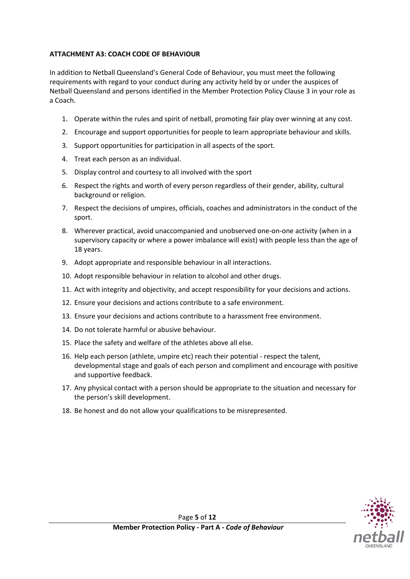## **ATTACHMENT A3: COACH CODE OF BEHAVIOUR**

In addition to Netball Queensland's General Code of Behaviour, you must meet the following requirements with regard to your conduct during any activity held by or under the auspices of Netball Queensland and persons identified in the Member Protection Policy Clause 3 in your role as a Coach.

- 1. Operate within the rules and spirit of netball, promoting fair play over winning at any cost.
- 2. Encourage and support opportunities for people to learn appropriate behaviour and skills.
- 3. Support opportunities for participation in all aspects of the sport.
- 4. Treat each person as an individual.
- 5. Display control and courtesy to all involved with the sport
- 6. Respect the rights and worth of every person regardless of their gender, ability, cultural background or religion.
- 7. Respect the decisions of umpires, officials, coaches and administrators in the conduct of the sport.
- 8. Wherever practical, avoid unaccompanied and unobserved one-on-one activity (when in a supervisory capacity or where a power imbalance will exist) with people less than the age of 18 years.
- 9. Adopt appropriate and responsible behaviour in all interactions.
- 10. Adopt responsible behaviour in relation to alcohol and other drugs.
- 11. Act with integrity and objectivity, and accept responsibility for your decisions and actions.
- 12. Ensure your decisions and actions contribute to a safe environment.
- 13. Ensure your decisions and actions contribute to a harassment free environment.
- 14. Do not tolerate harmful or abusive behaviour.
- 15. Place the safety and welfare of the athletes above all else.
- 16. Help each person (athlete, umpire etc) reach their potential respect the talent, developmental stage and goals of each person and compliment and encourage with positive and supportive feedback.
- 17. Any physical contact with a person should be appropriate to the situation and necessary for the person's skill development.
- 18. Be honest and do not allow your qualifications to be misrepresented.

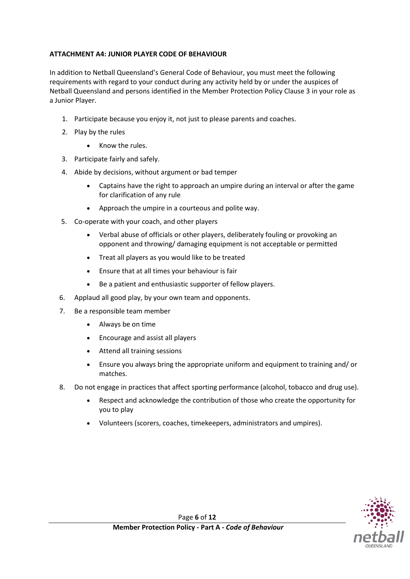## **ATTACHMENT A4: JUNIOR PLAYER CODE OF BEHAVIOUR**

In addition to Netball Queensland's General Code of Behaviour, you must meet the following requirements with regard to your conduct during any activity held by or under the auspices of Netball Queensland and persons identified in the Member Protection Policy Clause 3 in your role as a Junior Player.

- 1. Participate because you enjoy it, not just to please parents and coaches.
- 2. Play by the rules
	- Know the rules.
- 3. Participate fairly and safely.
- 4. Abide by decisions, without argument or bad temper
	- Captains have the right to approach an umpire during an interval or after the game for clarification of any rule
	- Approach the umpire in a courteous and polite way.
- 5. Co-operate with your coach, and other players
	- Verbal abuse of officials or other players, deliberately fouling or provoking an opponent and throwing/ damaging equipment is not acceptable or permitted
	- Treat all players as you would like to be treated
	- Ensure that at all times your behaviour is fair
	- Be a patient and enthusiastic supporter of fellow players.
- 6. Applaud all good play, by your own team and opponents.
- 7. Be a responsible team member
	- Always be on time
	- Encourage and assist all players
	- Attend all training sessions
	- Ensure you always bring the appropriate uniform and equipment to training and/ or matches.
- 8. Do not engage in practices that affect sporting performance (alcohol, tobacco and drug use).
	- Respect and acknowledge the contribution of those who create the opportunity for you to play
	- Volunteers (scorers, coaches, timekeepers, administrators and umpires).

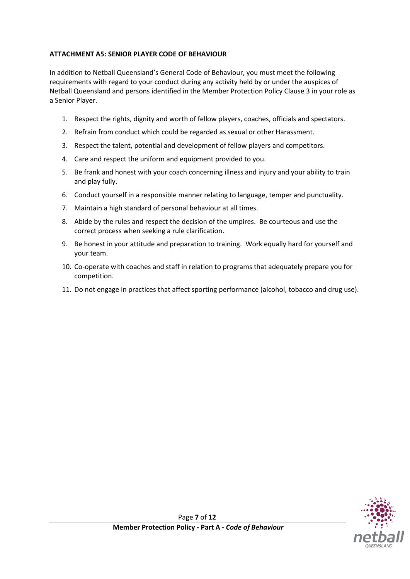## **ATTACHMENT A5: SENIOR PLAYER CODE OF BEHAVIOUR**

In addition to Netball Queensland's General Code of Behaviour, you must meet the following requirements with regard to your conduct during any activity held by or under the auspices of Netball Queensland and persons identified in the Member Protection Policy Clause 3 in your role as a Senior Player.

- 1. Respect the rights, dignity and worth of fellow players, coaches, officials and spectators.
- 2. Refrain from conduct which could be regarded as sexual or other Harassment.
- 3. Respect the talent, potential and development of fellow players and competitors.
- 4. Care and respect the uniform and equipment provided to you.
- 5. Be frank and honest with your coach concerning illness and injury and your ability to train and play fully.
- 6. Conduct yourself in a responsible manner relating to language, temper and punctuality.
- 7. Maintain a high standard of personal behaviour at all times.
- 8. Abide by the rules and respect the decision of the umpires. Be courteous and use the correct process when seeking a rule clarification.
- 9. Be honest in your attitude and preparation to training. Work equally hard for yourself and your team.
- 10. Co-operate with coaches and staff in relation to programs that adequately prepare you for competition.
- 11. Do not engage in practices that affect sporting performance (alcohol, tobacco and drug use).

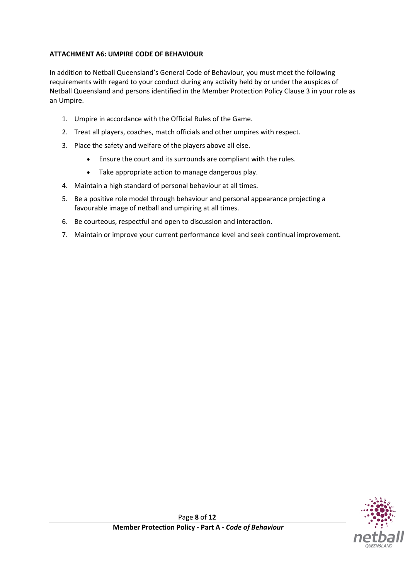## **ATTACHMENT A6: UMPIRE CODE OF BEHAVIOUR**

In addition to Netball Queensland's General Code of Behaviour, you must meet the following requirements with regard to your conduct during any activity held by or under the auspices of Netball Queensland and persons identified in the Member Protection Policy Clause 3 in your role as an Umpire.

- 1. Umpire in accordance with the Official Rules of the Game.
- 2. Treat all players, coaches, match officials and other umpires with respect.
- 3. Place the safety and welfare of the players above all else.
	- Ensure the court and its surrounds are compliant with the rules.
	- Take appropriate action to manage dangerous play.
- 4. Maintain a high standard of personal behaviour at all times.
- 5. Be a positive role model through behaviour and personal appearance projecting a favourable image of netball and umpiring at all times.
- 6. Be courteous, respectful and open to discussion and interaction.
- 7. Maintain or improve your current performance level and seek continual improvement.

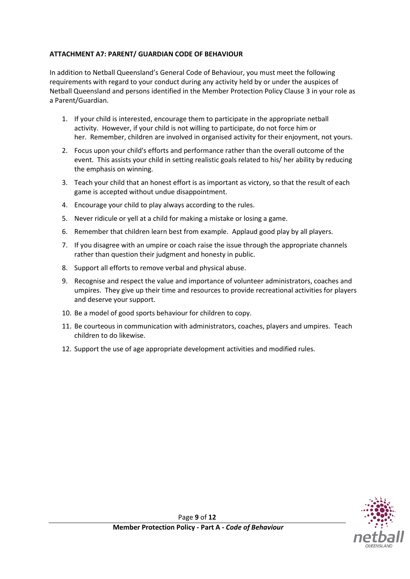## **ATTACHMENT A7: PARENT/ GUARDIAN CODE OF BEHAVIOUR**

In addition to Netball Queensland's General Code of Behaviour, you must meet the following requirements with regard to your conduct during any activity held by or under the auspices of Netball Queensland and persons identified in the Member Protection Policy Clause 3 in your role as a Parent/Guardian.

- 1. If your child is interested, encourage them to participate in the appropriate netball activity. However, if your child is not willing to participate, do not force him or her. Remember, children are involved in organised activity for their enjoyment, not yours.
- 2. Focus upon your child's efforts and performance rather than the overall outcome of the event. This assists your child in setting realistic goals related to his/ her ability by reducing the emphasis on winning.
- 3. Teach your child that an honest effort is as important as victory, so that the result of each game is accepted without undue disappointment.
- 4. Encourage your child to play always according to the rules.
- 5. Never ridicule or yell at a child for making a mistake or losing a game.
- 6. Remember that children learn best from example. Applaud good play by all players.
- 7. If you disagree with an umpire or coach raise the issue through the appropriate channels rather than question their judgment and honesty in public.
- 8. Support all efforts to remove verbal and physical abuse.
- 9. Recognise and respect the value and importance of volunteer administrators, coaches and umpires. They give up their time and resources to provide recreational activities for players and deserve your support.
- 10. Be a model of good sports behaviour for children to copy.
- 11. Be courteous in communication with administrators, coaches, players and umpires. Teach children to do likewise.
- 12. Support the use of age appropriate development activities and modified rules.

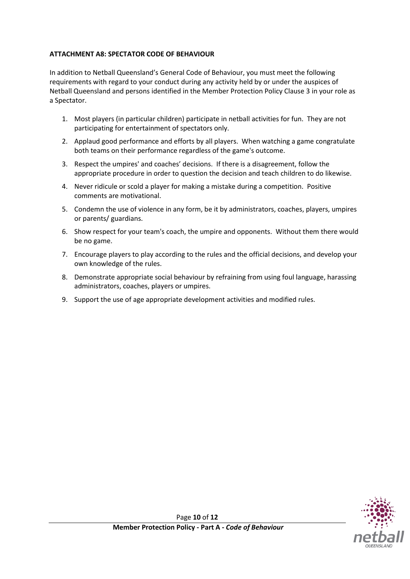## **ATTACHMENT A8: SPECTATOR CODE OF BEHAVIOUR**

In addition to Netball Queensland's General Code of Behaviour, you must meet the following requirements with regard to your conduct during any activity held by or under the auspices of Netball Queensland and persons identified in the Member Protection Policy Clause 3 in your role as a Spectator.

- 1. Most players (in particular children) participate in netball activities for fun. They are not participating for entertainment of spectators only.
- 2. Applaud good performance and efforts by all players. When watching a game congratulate both teams on their performance regardless of the game's outcome.
- 3. Respect the umpires' and coaches' decisions. If there is a disagreement, follow the appropriate procedure in order to question the decision and teach children to do likewise.
- 4. Never ridicule or scold a player for making a mistake during a competition. Positive comments are motivational.
- 5. Condemn the use of violence in any form, be it by administrators, coaches, players, umpires or parents/ guardians.
- 6. Show respect for your team's coach, the umpire and opponents. Without them there would be no game.
- 7. Encourage players to play according to the rules and the official decisions, and develop your own knowledge of the rules.
- 8. Demonstrate appropriate social behaviour by refraining from using foul language, harassing administrators, coaches, players or umpires.
- 9. Support the use of age appropriate development activities and modified rules.

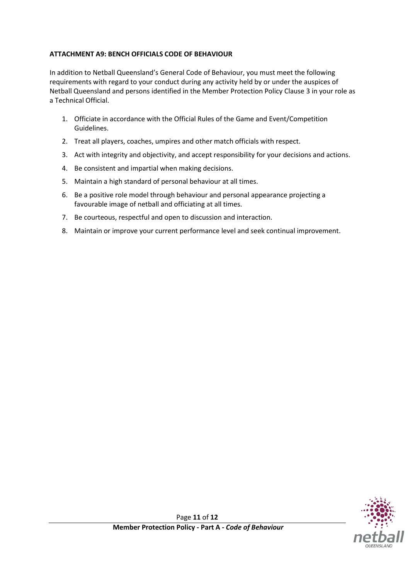#### **ATTACHMENT A9: BENCH OFFICIALS CODE OF BEHAVIOUR**

In addition to Netball Queensland's General Code of Behaviour, you must meet the following requirements with regard to your conduct during any activity held by or under the auspices of Netball Queensland and persons identified in the Member Protection Policy Clause 3 in your role as a Technical Official.

- 1. Officiate in accordance with the Official Rules of the Game and Event/Competition Guidelines.
- 2. Treat all players, coaches, umpires and other match officials with respect.
- 3. Act with integrity and objectivity, and accept responsibility for your decisions and actions.
- 4. Be consistent and impartial when making decisions.
- 5. Maintain a high standard of personal behaviour at all times.
- 6. Be a positive role model through behaviour and personal appearance projecting a favourable image of netball and officiating at all times.
- 7. Be courteous, respectful and open to discussion and interaction.
- 8. Maintain or improve your current performance level and seek continual improvement.